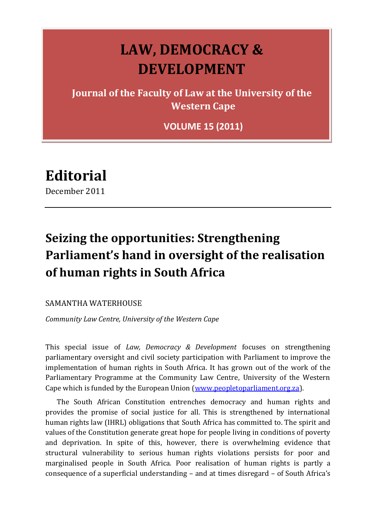# **LAW, DEMOCRACY & DEVELOPMENT**

**Journal of the Faculty of Law at the University of the Western Cape**

**VOLUME 15 (2011)**

**Editorial**

December 2011

# **Seizing the opportunities: Strengthening Parliament's hand in oversight of the realisation of human rights in South Africa**

## SAMANTHA WATERHOUSE

*Community Law Centre, University of the Western Cape*

This special issue of *Law, Democracy & Development* focuses on strengthening parliamentary oversight and civil society participation with Parliament to improve the implementation of human rights in South Africa. It has grown out of the work of the Parliamentary Programme at the Community Law Centre, University of the Western Cape which is funded by the European Union [\(www.peopletoparliament.org.za\)](http://www.peopletoparliament.org.za/).

The South African Constitution entrenches democracy and human rights and provides the promise of social justice for all. This is strengthened by international human rights law (IHRL) obligations that South Africa has committed to. The spirit and values of the Constitution generate great hope for people living in conditions of poverty and deprivation. In spite of this, however, there is overwhelming evidence that structural vulnerability to serious human rights violations persists for poor and marginalised people in South Africa. Poor realisation of human rights is partly a consequence of a superficial understanding – and at times disregard – of South Africa's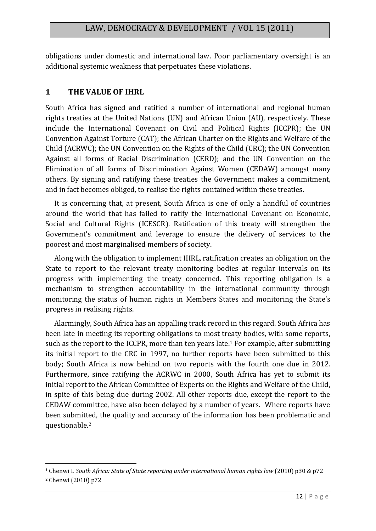obligations under domestic and international law. Poor parliamentary oversight is an additional systemic weakness that perpetuates these violations.

## **1 THE VALUE OF IHRL**

South Africa has signed and ratified a number of international and regional human rights treaties at the United Nations (UN) and African Union (AU), respectively. These include the International Covenant on Civil and Political Rights (ICCPR); the UN Convention Against Torture (CAT); the African Charter on the Rights and Welfare of the Child (ACRWC); the UN Convention on the Rights of the Child (CRC); the UN Convention Against all forms of Racial Discrimination (CERD); and the UN Convention on the Elimination of all forms of Discrimination Against Women (CEDAW) amongst many others. By signing and ratifying these treaties the Government makes a commitment, and in fact becomes obliged, to realise the rights contained within these treaties.

It is concerning that, at present, South Africa is one of only a handful of countries around the world that has failed to ratify the International Covenant on Economic, Social and Cultural Rights (ICESCR). Ratification of this treaty will strengthen the Government's commitment and leverage to ensure the delivery of services to the poorest and most marginalised members of society.

Along with the obligation to implement IHRL, ratification creates an obligation on the State to report to the relevant treaty monitoring bodies at regular intervals on its progress with implementing the treaty concerned. This reporting obligation is a mechanism to strengthen accountability in the international community through monitoring the status of human rights in Members States and monitoring the State's progress in realising rights.

Alarmingly, South Africa has an appalling track record in this regard. South Africa has been late in meeting its reporting obligations to most treaty bodies, with some reports, such as the report to the ICCPR, more than ten years late.<sup>1</sup> For example, after submitting its initial report to the CRC in 1997, no further reports have been submitted to this body; South Africa is now behind on two reports with the fourth one due in 2012. Furthermore, since ratifying the ACRWC in 2000, South Africa has yet to submit its initial report to the African Committee of Experts on the Rights and Welfare of the Child, in spite of this being due during 2002. All other reports due, except the report to the CEDAW committee, have also been delayed by a number of years. Where reports have been submitted, the quality and accuracy of the information has been problematic and questionable.<sup>2</sup>

**.** 

<sup>1</sup> Chenwi L *South Africa: State of State reporting under international human rights law* (2010) p30 & p72

<sup>2</sup> Chenwi (2010) p72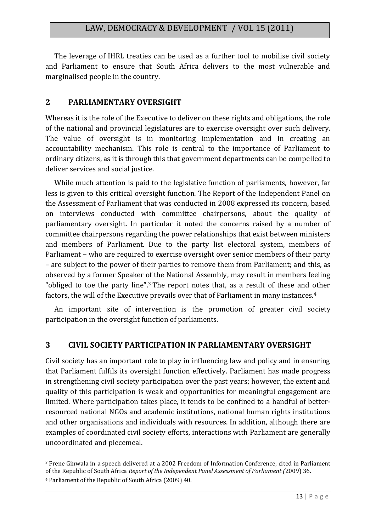The leverage of IHRL treaties can be used as a further tool to mobilise civil society and Parliament to ensure that South Africa delivers to the most vulnerable and marginalised people in the country.

## **2 PARLIAMENTARY OVERSIGHT**

Whereas it is the role of the Executive to deliver on these rights and obligations, the role of the national and provincial legislatures are to exercise oversight over such delivery. The value of oversight is in monitoring implementation and in creating an accountability mechanism. This role is central to the importance of Parliament to ordinary citizens, as it is through this that government departments can be compelled to deliver services and social justice.

While much attention is paid to the legislative function of parliaments, however, far less is given to this critical oversight function. The Report of the Independent Panel on the Assessment of Parliament that was conducted in 2008 expressed its concern, based on interviews conducted with committee chairpersons, about the quality of parliamentary oversight. In particular it noted the concerns raised by a number of committee chairpersons regarding the power relationships that exist between ministers and members of Parliament. Due to the party list electoral system, members of Parliament – who are required to exercise oversight over senior members of their party – are subject to the power of their parties to remove them from Parliament; and this, as observed by a former Speaker of the National Assembly, may result in members feeling "obliged to toe the party line".<sup>3</sup> The report notes that, as a result of these and other factors, the will of the Executive prevails over that of Parliament in many instances.<sup>4</sup>

An important site of intervention is the promotion of greater civil society participation in the oversight function of parliaments.

# **3 CIVIL SOCIETY PARTICIPATION IN PARLIAMENTARY OVERSIGHT**

Civil society has an important role to play in influencing law and policy and in ensuring that Parliament fulfils its oversight function effectively. Parliament has made progress in strengthening civil society participation over the past years; however, the extent and quality of this participation is weak and opportunities for meaningful engagement are limited. Where participation takes place, it tends to be confined to a handful of betterresourced national NGOs and academic institutions, national human rights institutions and other organisations and individuals with resources. In addition, although there are examples of coordinated civil society efforts, interactions with Parliament are generally uncoordinated and piecemeal.

1

<sup>3</sup> Frene Ginwala in a speech delivered at a 2002 Freedom of Information Conference, cited in Parliament of the Republic of South Africa *Report of the Independent Panel Assessment of Parliament (*2009) 36.

<sup>4</sup> Parliament of the Republic of South Africa (2009) 40.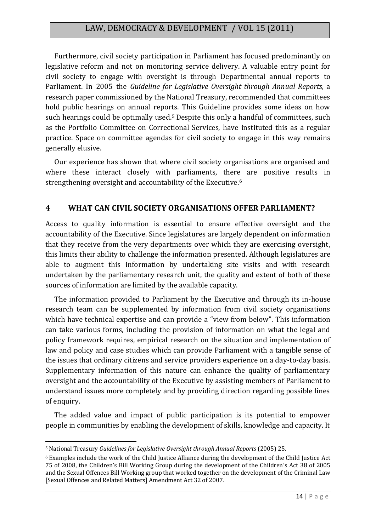## LAW, DEMOCRACY & DEVELOPMENT / VOL 15 (2011)

Furthermore, civil society participation in Parliament has focused predominantly on legislative reform and not on monitoring service delivery. A valuable entry point for civil society to engage with oversight is through Departmental annual reports to Parliament. In 2005 the *Guideline for Legislative Oversight through Annual Reports,* a research paper commissioned by the National Treasury, recommended that committees hold public hearings on annual reports. This Guideline provides some ideas on how such hearings could be optimally used.<sup>5</sup> Despite this only a handful of committees, such as the Portfolio Committee on Correctional Services, have instituted this as a regular practice. Space on committee agendas for civil society to engage in this way remains generally elusive.

Our experience has shown that where civil society organisations are organised and where these interact closely with parliaments, there are positive results in strengthening oversight and accountability of the Executive.<sup>6</sup>

#### **4 WHAT CAN CIVIL SOCIETY ORGANISATIONS OFFER PARLIAMENT?**

Access to quality information is essential to ensure effective oversight and the accountability of the Executive. Since legislatures are largely dependent on information that they receive from the very departments over which they are exercising oversight, this limits their ability to challenge the information presented. Although legislatures are able to augment this information by undertaking site visits and with research undertaken by the parliamentary research unit, the quality and extent of both of these sources of information are limited by the available capacity.

The information provided to Parliament by the Executive and through its in-house research team can be supplemented by information from civil society organisations which have technical expertise and can provide a "view from below". This information can take various forms, including the provision of information on what the legal and policy framework requires, empirical research on the situation and implementation of law and policy and case studies which can provide Parliament with a tangible sense of the issues that ordinary citizens and service providers experience on a day-to-day basis. Supplementary information of this nature can enhance the quality of parliamentary oversight and the accountability of the Executive by assisting members of Parliament to understand issues more completely and by providing direction regarding possible lines of enquiry.

The added value and impact of public participation is its potential to empower people in communities by enabling the development of skills, knowledge and capacity. It

1

<sup>5</sup> National Treasury *Guidelines for Legislative Oversight through Annual Reports* (2005) 25.

<sup>6</sup> Examples include the work of the Child Justice Alliance during the development of the Child Justice Act 75 of 2008, the Children's Bill Working Group during the development of the Children's Act 38 of 2005 and the Sexual Offences Bill Working group that worked together on the development of the Criminal Law [Sexual Offences and Related Matters] Amendment Act 32 of 2007.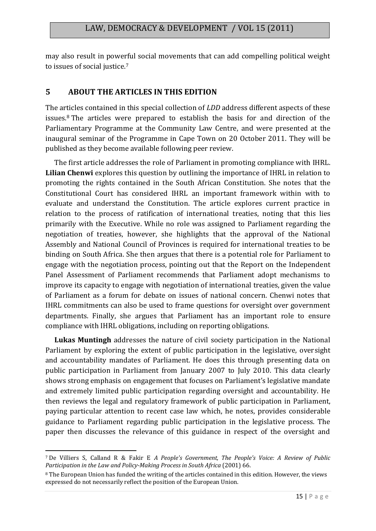may also result in powerful social movements that can add compelling political weight to issues of social justice.<sup>7</sup>

## **5 ABOUT THE ARTICLES IN THIS EDITION**

The articles contained in this special collection of *LDD* address different aspects of these issues.<sup>8</sup> The articles were prepared to establish the basis for and direction of the Parliamentary Programme at the Community Law Centre, and were presented at the inaugural seminar of the Programme in Cape Town on 20 October 2011. They will be published as they become available following peer review.

The first article addresses the role of Parliament in promoting compliance with IHRL. **Lilian Chenwi** explores this question by outlining the importance of IHRL in relation to promoting the rights contained in the South African Constitution. She notes that the Constitutional Court has considered IHRL an important framework within with to evaluate and understand the Constitution. The article explores current practice in relation to the process of ratification of international treaties, noting that this lies primarily with the Executive. While no role was assigned to Parliament regarding the negotiation of treaties, however, she highlights that the approval of the National Assembly and National Council of Provinces is required for international treaties to be binding on South Africa. She then argues that there is a potential role for Parliament to engage with the negotiation process, pointing out that the Report on the Independent Panel Assessment of Parliament recommends that Parliament adopt mechanisms to improve its capacity to engage with negotiation of international treaties, given the value of Parliament as a forum for debate on issues of national concern. Chenwi notes that IHRL commitments can also be used to frame questions for oversight over government departments. Finally, she argues that Parliament has an important role to ensure compliance with IHRL obligations, including on reporting obligations.

**Lukas Muntingh** addresses the nature of civil society participation in the National Parliament by exploring the extent of public participation in the legislative, oversight and accountability mandates of Parliament. He does this through presenting data on public participation in Parliament from January 2007 to July 2010. This data clearly shows strong emphasis on engagement that focuses on Parliament's legislative mandate and extremely limited public participation regarding oversight and accountability. He then reviews the legal and regulatory framework of public participation in Parliament, paying particular attention to recent case law which, he notes, provides considerable guidance to Parliament regarding public participation in the legislative process. The paper then discusses the relevance of this guidance in respect of the oversight and

<sup>1</sup> <sup>7</sup> De Villiers S, Calland R & Fakir E *A People's Government, The People's Voice: A Review of Public Participation in the Law and Policy-Making Process in South Africa* (2001) 66.

<sup>8</sup> The European Union has funded the writing of the articles contained in this edition. However, the views expressed do not necessarily reflect the position of the European Union.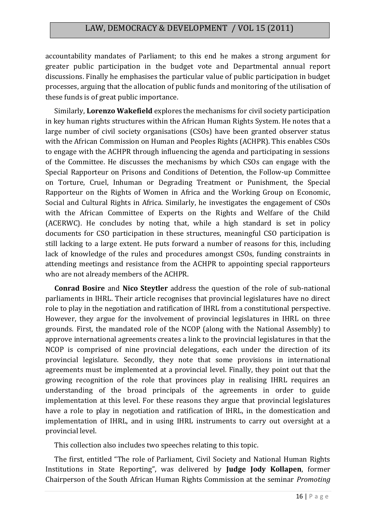## LAW, DEMOCRACY & DEVELOPMENT / VOL 15 (2011)

accountability mandates of Parliament; to this end he makes a strong argument for greater public participation in the budget vote and Departmental annual report discussions. Finally he emphasises the particular value of public participation in budget processes, arguing that the allocation of public funds and monitoring of the utilisation of these funds is of great public importance.

Similarly, **Lorenzo Wakefield** explores the mechanisms for civil society participation in key human rights structures within the African Human Rights System. He notes that a large number of civil society organisations (CSOs) have been granted observer status with the African Commission on Human and Peoples Rights (ACHPR). This enables CSOs to engage with the ACHPR through influencing the agenda and participating in sessions of the Committee. He discusses the mechanisms by which CSOs can engage with the Special Rapporteur on Prisons and Conditions of Detention, the Follow-up Committee on Torture, Cruel, Inhuman or Degrading Treatment or Punishment, the Special Rapporteur on the Rights of Women in Africa and the Working Group on Economic, Social and Cultural Rights in Africa. Similarly, he investigates the engagement of CSOs with the African Committee of Experts on the Rights and Welfare of the Child (ACERWC). He concludes by noting that, while a high standard is set in policy documents for CSO participation in these structures, meaningful CSO participation is still lacking to a large extent. He puts forward a number of reasons for this, including lack of knowledge of the rules and procedures amongst CSOs, funding constraints in attending meetings and resistance from the ACHPR to appointing special rapporteurs who are not already members of the ACHPR.

**Conrad Bosire** and **Nico Steytler** address the question of the role of sub-national parliaments in IHRL. Their article recognises that provincial legislatures have no direct role to play in the negotiation and ratification of IHRL from a constitutional perspective. However, they argue for the involvement of provincial legislatures in IHRL on three grounds. First, the mandated role of the NCOP (along with the National Assembly) to approve international agreements creates a link to the provincial legislatures in that the NCOP is comprised of nine provincial delegations, each under the direction of its provincial legislature. Secondly, they note that some provisions in international agreements must be implemented at a provincial level. Finally, they point out that the growing recognition of the role that provinces play in realising IHRL requires an understanding of the broad principals of the agreements in order to guide implementation at this level. For these reasons they argue that provincial legislatures have a role to play in negotiation and ratification of IHRL, in the domestication and implementation of IHRL, and in using IHRL instruments to carry out oversight at a provincial level.

This collection also includes two speeches relating to this topic.

The first, entitled "The role of Parliament, Civil Society and National Human Rights Institutions in State Reporting", was delivered by **Judge Jody Kollapen**, former Chairperson of the South African Human Rights Commission at the seminar *Promoting*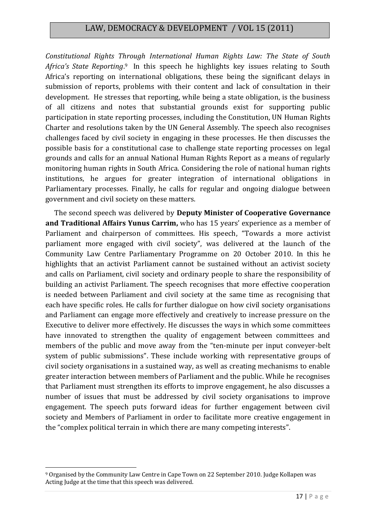## LAW, DEMOCRACY & DEVELOPMENT / VOL 15 (2011)

*Constitutional Rights Through International Human Rights Law: The State of South*  Africa's State Reporting.<sup>9</sup> In this speech he highlights key issues relating to South Africa's reporting on international obligations, these being the significant delays in submission of reports, problems with their content and lack of consultation in their development. He stresses that reporting, while being a state obligation, is the business of all citizens and notes that substantial grounds exist for supporting public participation in state reporting processes, including the Constitution, UN Human Rights Charter and resolutions taken by the UN General Assembly. The speech also recognises challenges faced by civil society in engaging in these processes. He then discusses the possible basis for a constitutional case to challenge state reporting processes on legal grounds and calls for an annual National Human Rights Report as a means of regularly monitoring human rights in South Africa. Considering the role of national human rights institutions, he argues for greater integration of international obligations in Parliamentary processes. Finally, he calls for regular and ongoing dialogue between government and civil society on these matters.

The second speech was delivered by **Deputy Minister of Cooperative Governance and Traditional Affairs Yunus Carrim,** who has 15 years' experience as a member of Parliament and chairperson of committees. His speech, "Towards a more activist parliament more engaged with civil society", was delivered at the launch of the Community Law Centre Parliamentary Programme on 20 October 2010. In this he highlights that an activist Parliament cannot be sustained without an activist society and calls on Parliament, civil society and ordinary people to share the responsibility of building an activist Parliament. The speech recognises that more effective cooperation is needed between Parliament and civil society at the same time as recognising that each have specific roles. He calls for further dialogue on how civil society organisations and Parliament can engage more effectively and creatively to increase pressure on the Executive to deliver more effectively. He discusses the ways in which some committees have innovated to strengthen the quality of engagement between committees and members of the public and move away from the "ten-minute per input conveyer-belt system of public submissions". These include working with representative groups of civil society organisations in a sustained way, as well as creating mechanisms to enable greater interaction between members of Parliament and the public. While he recognises that Parliament must strengthen its efforts to improve engagement, he also discusses a number of issues that must be addressed by civil society organisations to improve engagement. The speech puts forward ideas for further engagement between civil society and Members of Parliament in order to facilitate more creative engagement in the "complex political terrain in which there are many competing interests".

**.** 

<sup>9</sup> Organised by the Community Law Centre in Cape Town on 22 September 2010. Judge Kollapen was Acting Judge at the time that this speech was delivered.